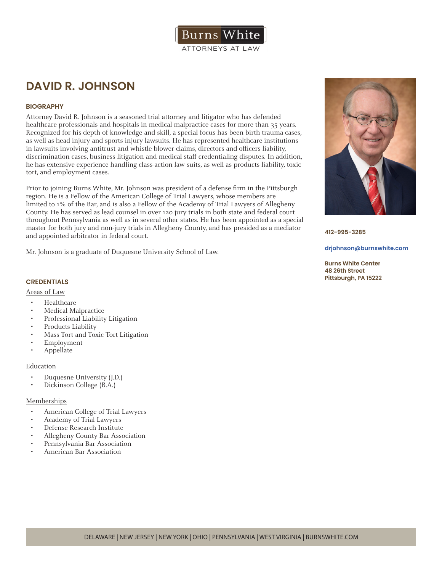

# **DAVID R. JOHNSON**

# **BIOGRAPHY**

Attorney David R. Johnson is a seasoned trial attorney and litigator who has defended healthcare professionals and hospitals in medical malpractice cases for more than 35 years. Recognized for his depth of knowledge and skill, a special focus has been birth trauma cases, as well as head injury and sports injury lawsuits. He has represented healthcare institutions in lawsuits involving antitrust and whistle blower claims, directors and officers liability, discrimination cases, business litigation and medical staff credentialing disputes. In addition, he has extensive experience handling class-action law suits, as well as products liability, toxic tort, and employment cases.

Prior to joining Burns White, Mr. Johnson was president of a defense firm in the Pittsburgh region. He is a Fellow of the American College of Trial Lawyers, whose members are limited to 1% of the Bar, and is also a Fellow of the Academy of Trial Lawyers of Allegheny County. He has served as lead counsel in over 120 jury trials in both state and federal court throughout Pennsylvania as well as in several other states. He has been appointed as a special master for both jury and non-jury trials in Allegheny County, and has presided as a mediator and appointed arbitrator in federal court.

Mr. Johnson is a graduate of Duquesne University School of Law.

## **CREDENTIALS**

## Areas of Law

- Healthcare
- Medical Malpractice
- Professional Liability Litigation
- Products Liability
- Mass Tort and Toxic Tort Litigation
- Employment
- Appellate

#### Education

- Duquesne University (J.D.)
- Dickinson College (B.A.)

## Memberships

- American College of Trial Lawyers
- Academy of Trial Lawyers
- Defense Research Institute
- Allegheny County Bar Association
- Pennsylvania Bar Association
- American Bar Association



**412-995-3285**

#### **drjohnson@burnswhite.com**

**Burns White Center 48 26th Street Pittsburgh, PA 15222**